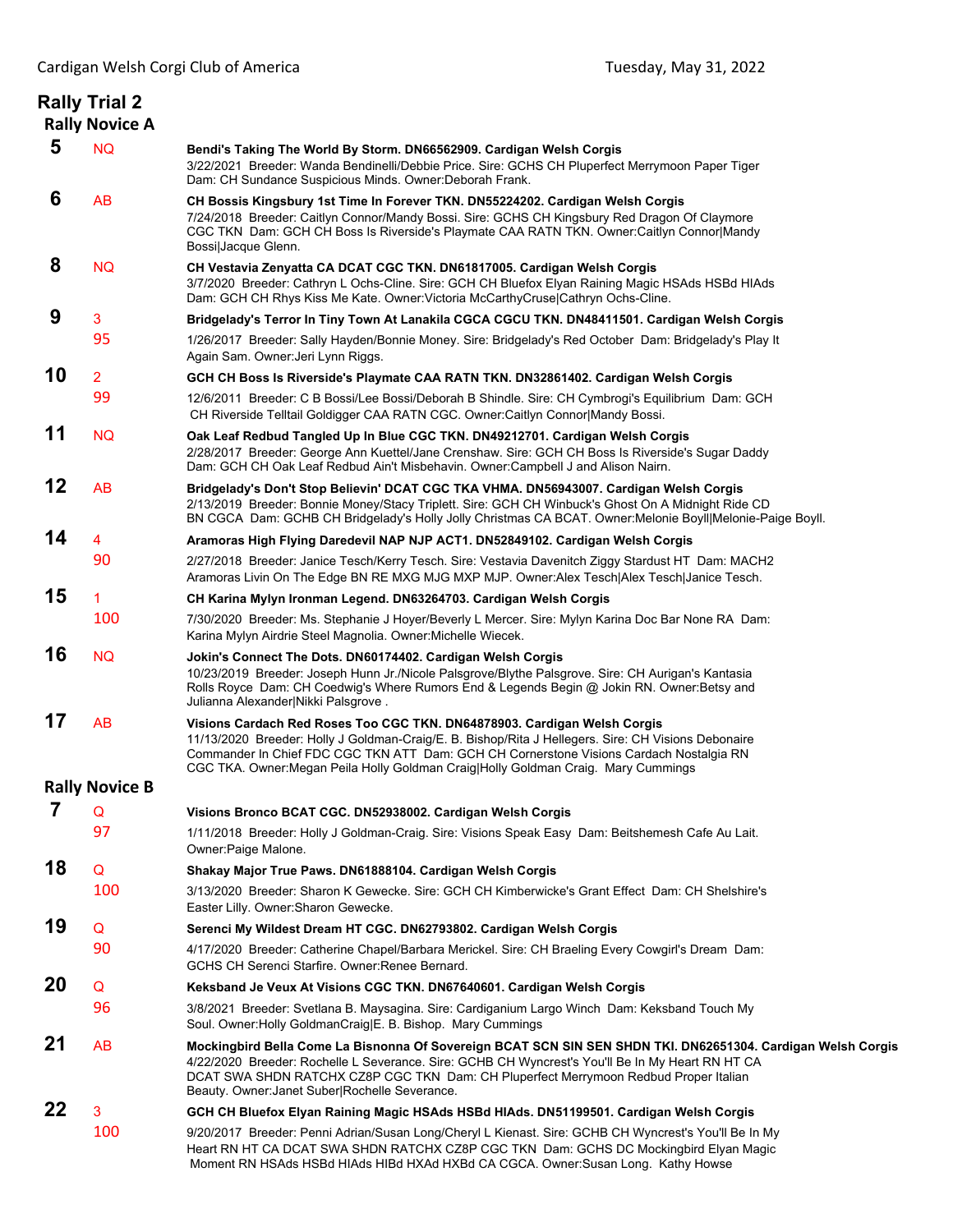|    | <b>Rally Trial 2</b><br><b>Rally Novice A</b> |                                                                                                                                                                                                                                                                                                                                                                 |
|----|-----------------------------------------------|-----------------------------------------------------------------------------------------------------------------------------------------------------------------------------------------------------------------------------------------------------------------------------------------------------------------------------------------------------------------|
| 5  | <b>NQ</b>                                     | Bendi's Taking The World By Storm. DN66562909. Cardigan Welsh Corgis<br>3/22/2021 Breeder: Wanda Bendinelli/Debbie Price. Sire: GCHS CH Pluperfect Merrymoon Paper Tiger<br>Dam: CH Sundance Suspicious Minds. Owner: Deborah Frank.                                                                                                                            |
| 6  | AB                                            | CH Bossis Kingsbury 1st Time In Forever TKN. DN55224202. Cardigan Welsh Corgis<br>7/24/2018 Breeder: Caitlyn Connor/Mandy Bossi. Sire: GCHS CH Kingsbury Red Dragon Of Claymore<br>CGC TKN Dam: GCH CH Boss Is Riverside's Playmate CAA RATN TKN. Owner:Caitlyn Connor Mandy<br>Bossi Jacque Glenn.                                                             |
| 8  | <b>NQ</b>                                     | CH Vestavia Zenyatta CA DCAT CGC TKN. DN61817005. Cardigan Welsh Corgis<br>3/7/2020 Breeder: Cathryn L Ochs-Cline. Sire: GCH CH Bluefox Elyan Raining Magic HSAds HSBd HIAds<br>Dam: GCH CH Rhys Kiss Me Kate. Owner: Victoria McCarthy Cruse Cathryn Ochs-Cline.                                                                                               |
| 9  | 3                                             | Bridgelady's Terror In Tiny Town At Lanakila CGCA CGCU TKN. DN48411501. Cardigan Welsh Corgis                                                                                                                                                                                                                                                                   |
|    | 95                                            | 1/26/2017 Breeder: Sally Hayden/Bonnie Money. Sire: Bridgelady's Red October Dam: Bridgelady's Play It<br>Again Sam. Owner: Jeri Lynn Riggs.                                                                                                                                                                                                                    |
| 10 | $\overline{2}$                                | GCH CH Boss Is Riverside's Playmate CAA RATN TKN. DN32861402. Cardigan Welsh Corgis                                                                                                                                                                                                                                                                             |
|    | 99                                            | 12/6/2011 Breeder: C B Bossi/Lee Bossi/Deborah B Shindle. Sire: CH Cymbrogi's Equilibrium Dam: GCH<br>CH Riverside Telltail Goldigger CAA RATN CGC. Owner:Caitlyn Connor Mandy Bossi.                                                                                                                                                                           |
| 11 | <b>NQ</b>                                     | Oak Leaf Redbud Tangled Up In Blue CGC TKN. DN49212701. Cardigan Welsh Corgis<br>2/28/2017 Breeder: George Ann Kuettel/Jane Crenshaw. Sire: GCH CH Boss Is Riverside's Sugar Daddy<br>Dam: GCH CH Oak Leaf Redbud Ain't Misbehavin. Owner:Campbell J and Alison Nairn.                                                                                          |
| 12 | AB                                            | Bridgelady's Don't Stop Believin' DCAT CGC TKA VHMA. DN56943007. Cardigan Welsh Corgis<br>2/13/2019 Breeder: Bonnie Money/Stacy Triplett. Sire: GCH CH Winbuck's Ghost On A Midnight Ride CD<br>BN CGCA Dam: GCHB CH Bridgelady's Holly Jolly Christmas CA BCAT. Owner: Melonie Boyll Melonie-Paige Boyll.                                                      |
| 14 | 4                                             | Aramoras High Flying Daredevil NAP NJP ACT1. DN52849102. Cardigan Welsh Corgis                                                                                                                                                                                                                                                                                  |
|    | 90                                            | 2/27/2018 Breeder: Janice Tesch/Kerry Tesch. Sire: Vestavia Davenitch Ziggy Stardust HT Dam: MACH2<br>Aramoras Livin On The Edge BN RE MXG MJG MXP MJP. Owner:Alex Tesch Alex Tesch Janice Tesch.                                                                                                                                                               |
| 15 | 1                                             | CH Karina Mylyn Ironman Legend. DN63264703. Cardigan Welsh Corgis                                                                                                                                                                                                                                                                                               |
|    | 100                                           | 7/30/2020 Breeder: Ms. Stephanie J Hoyer/Beverly L Mercer. Sire: Mylyn Karina Doc Bar None RA Dam:<br>Karina Mylyn Airdrie Steel Magnolia. Owner: Michelle Wiecek.                                                                                                                                                                                              |
| 16 | <b>NQ</b>                                     | Jokin's Connect The Dots. DN60174402. Cardigan Welsh Corgis<br>10/23/2019 Breeder: Joseph Hunn Jr./Nicole Palsgrove/Blythe Palsgrove. Sire: CH Aurigan's Kantasia<br>Rolls Royce Dam: CH Coedwig's Where Rumors End & Legends Begin @ Jokin RN. Owner: Betsy and<br>Julianna Alexander Nikki Palsgrove .                                                        |
| 17 | AB                                            | Visions Cardach Red Roses Too CGC TKN. DN64878903. Cardigan Welsh Corgis<br>11/13/2020 Breeder: Holly J Goldman-Craig/E. B. Bishop/Rita J Hellegers. Sire: CH Visions Debonaire<br>Commander In Chief FDC CGC TKN ATT Dam: GCH CH Cornerstone Visions Cardach Nostalgia RN<br>CGC TKA. Owner:Megan Peila Holly Goldman Craig Holly Goldman Craig. Mary Cummings |
|    | <b>Rally Novice B</b>                         |                                                                                                                                                                                                                                                                                                                                                                 |
| 7  | Q                                             | Visions Bronco BCAT CGC. DN52938002. Cardigan Welsh Corgis                                                                                                                                                                                                                                                                                                      |
|    | 97                                            | 1/11/2018 Breeder: Holly J Goldman-Craig. Sire: Visions Speak Easy Dam: Beitshemesh Cafe Au Lait.<br>Owner: Paige Malone.                                                                                                                                                                                                                                       |
| 18 | Q                                             | Shakay Major True Paws. DN61888104. Cardigan Welsh Corgis                                                                                                                                                                                                                                                                                                       |
|    | 100                                           | 3/13/2020 Breeder: Sharon K Gewecke, Sire: GCH CH Kimberwicke's Grant Effect Dam: CH Shelshire's<br>Easter Lilly. Owner: Sharon Gewecke.                                                                                                                                                                                                                        |
| 19 | Q                                             | Serenci My Wildest Dream HT CGC. DN62793802. Cardigan Welsh Corgis                                                                                                                                                                                                                                                                                              |
|    | 90                                            | 4/17/2020 Breeder: Catherine Chapel/Barbara Merickel. Sire: CH Braeling Every Cowgirl's Dream Dam:<br>GCHS CH Serenci Starfire. Owner: Renee Bernard.                                                                                                                                                                                                           |
| 20 | Q                                             | Keksband Je Veux At Visions CGC TKN. DN67640601. Cardigan Welsh Corgis                                                                                                                                                                                                                                                                                          |
|    | 96                                            | 3/8/2021 Breeder: Svetlana B. Maysagina. Sire: Cardiganium Largo Winch Dam: Keksband Touch My<br>Soul. Owner: Holly Goldman Craig E. B. Bishop. Mary Cummings                                                                                                                                                                                                   |
| 21 | AB                                            | Mockingbird Bella Come La Bisnonna Of Sovereign BCAT SCN SIN SEN SHDN TKI. DN62651304. Cardigan Welsh Corgis<br>4/22/2020 Breeder: Rochelle L Severance. Sire: GCHB CH Wyncrest's You'll Be In My Heart RN HT CA<br>DCAT SWA SHDN RATCHX CZ8P CGC TKN Dam: CH Pluperfect Merrymoon Redbud Proper Italian<br>Beauty. Owner: Janet Suber Rochelle Severance.      |
| 22 | 3                                             | GCH CH Bluefox Elyan Raining Magic HSAds HSBd HIAds. DN51199501. Cardigan Welsh Corgis                                                                                                                                                                                                                                                                          |
|    | 100                                           | 9/20/2017 Breeder: Penni Adrian/Susan Long/Cheryl L Kienast. Sire: GCHB CH Wyncrest's You'll Be In My<br>Heart RN HT CA DCAT SWA SHDN RATCHX CZ8P CGC TKN Dam: GCHS DC Mockingbird Elyan Magic<br>Moment RN HSAds HSBd HIAds HIBd HXAd HXBd CA CGCA. Owner:Susan Long. Kathy Howse                                                                              |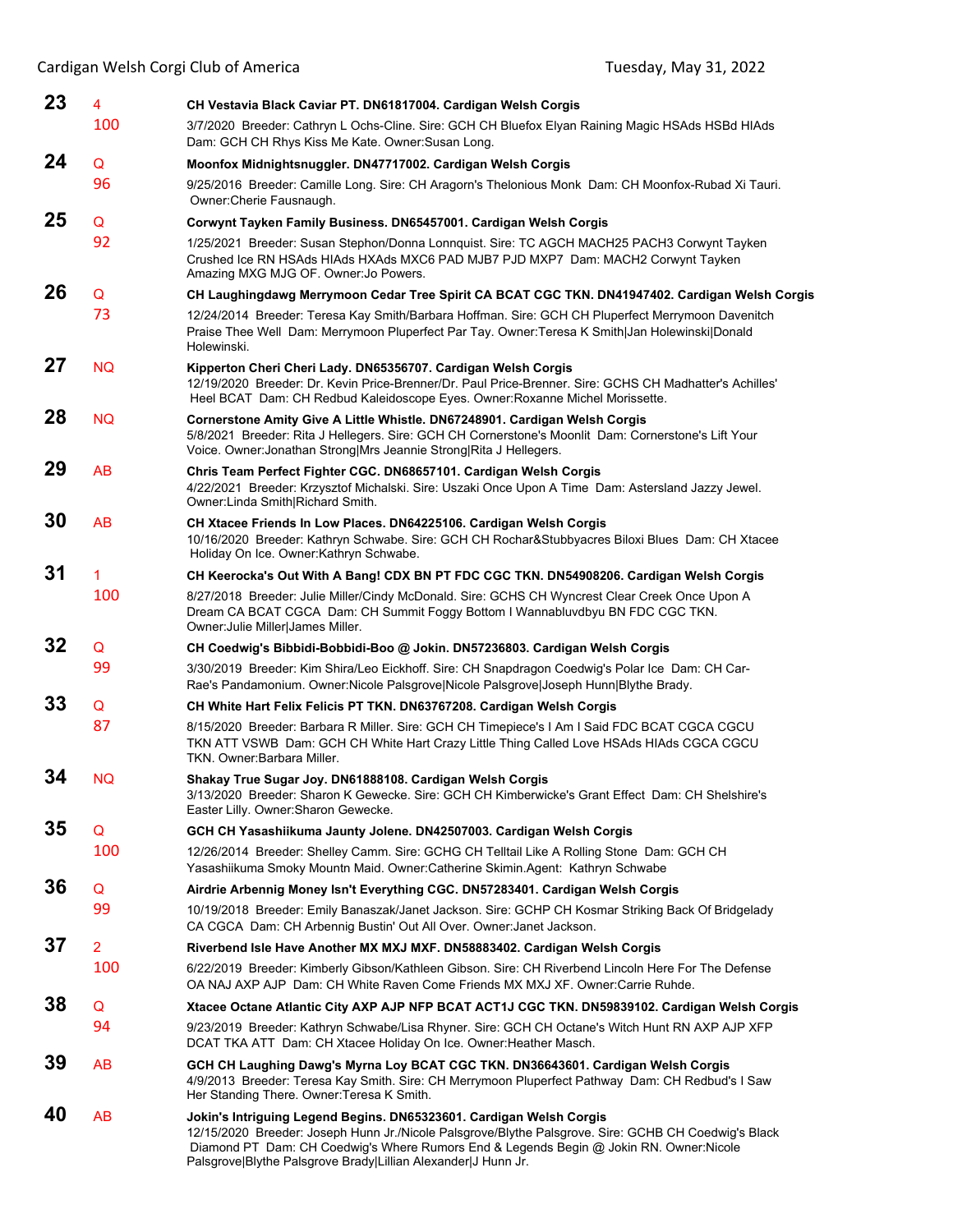| Cardigan Welsh Corgi Club of America<br>Tuesday, May 31, 2022 |                |                                                                                                                                                                                                                                                                                                                                         |  |
|---------------------------------------------------------------|----------------|-----------------------------------------------------------------------------------------------------------------------------------------------------------------------------------------------------------------------------------------------------------------------------------------------------------------------------------------|--|
| 23                                                            | $\overline{4}$ | CH Vestavia Black Caviar PT. DN61817004. Cardigan Welsh Corgis                                                                                                                                                                                                                                                                          |  |
|                                                               | 100            | 3/7/2020 Breeder: Cathryn L Ochs-Cline. Sire: GCH CH Bluefox Elyan Raining Magic HSAds HSBd HIAds<br>Dam: GCH CH Rhys Kiss Me Kate. Owner: Susan Long.                                                                                                                                                                                  |  |
| 24                                                            | Q              | Moonfox Midnightsnuggler. DN47717002. Cardigan Welsh Corgis                                                                                                                                                                                                                                                                             |  |
|                                                               | 96             | 9/25/2016 Breeder: Camille Long. Sire: CH Aragorn's Thelonious Monk Dam: CH Moonfox-Rubad Xi Tauri.<br>Owner: Cherie Fausnaugh.                                                                                                                                                                                                         |  |
| 25                                                            | Q              | Corwynt Tayken Family Business. DN65457001. Cardigan Welsh Corgis                                                                                                                                                                                                                                                                       |  |
|                                                               | 92             | 1/25/2021 Breeder: Susan Stephon/Donna Lonnquist. Sire: TC AGCH MACH25 PACH3 Corwynt Tayken<br>Crushed Ice RN HSAds HIAds HXAds MXC6 PAD MJB7 PJD MXP7 Dam: MACH2 Corwynt Tayken<br>Amazing MXG MJG OF. Owner: Jo Powers.                                                                                                               |  |
| 26                                                            | Q              | CH Laughingdawg Merrymoon Cedar Tree Spirit CA BCAT CGC TKN. DN41947402. Cardigan Welsh Corgis                                                                                                                                                                                                                                          |  |
|                                                               | 73             | 12/24/2014 Breeder: Teresa Kay Smith/Barbara Hoffman. Sire: GCH CH Pluperfect Merrymoon Davenitch<br>Praise Thee Well Dam: Merrymoon Pluperfect Par Tay. Owner: Teresa K Smith Jan Holewinski Donald<br>Holewinski.                                                                                                                     |  |
| 27                                                            | <b>NQ</b>      | Kipperton Cheri Cheri Lady. DN65356707. Cardigan Welsh Corgis<br>12/19/2020 Breeder: Dr. Kevin Price-Brenner/Dr. Paul Price-Brenner. Sire: GCHS CH Madhatter's Achilles'<br>Heel BCAT Dam: CH Redbud Kaleidoscope Eyes. Owner: Roxanne Michel Morissette.                                                                               |  |
| 28                                                            | <b>NQ</b>      | Cornerstone Amity Give A Little Whistle. DN67248901. Cardigan Welsh Corgis<br>5/8/2021 Breeder: Rita J Hellegers. Sire: GCH CH Cornerstone's Moonlit Dam: Cornerstone's Lift Your<br>Voice. Owner: Jonathan Strong Mrs Jeannie Strong Rita J Hellegers.                                                                                 |  |
| 29                                                            | AB             | Chris Team Perfect Fighter CGC. DN68657101. Cardigan Welsh Corgis<br>4/22/2021 Breeder: Krzysztof Michalski. Sire: Uszaki Once Upon A Time Dam: Astersland Jazzy Jewel.<br>Owner: Linda Smith Richard Smith.                                                                                                                            |  |
| 30                                                            | AB             | CH Xtacee Friends In Low Places. DN64225106. Cardigan Welsh Corgis<br>10/16/2020 Breeder: Kathryn Schwabe. Sire: GCH CH Rochar&Stubbyacres Biloxi Blues Dam: CH Xtacee<br>Holiday On Ice. Owner: Kathryn Schwabe.                                                                                                                       |  |
| 31                                                            | 1              | CH Keerocka's Out With A Bang! CDX BN PT FDC CGC TKN. DN54908206. Cardigan Welsh Corgis                                                                                                                                                                                                                                                 |  |
|                                                               | 100            | 8/27/2018 Breeder: Julie Miller/Cindy McDonald. Sire: GCHS CH Wyncrest Clear Creek Once Upon A<br>Dream CA BCAT CGCA Dam: CH Summit Foggy Bottom I Wannabluvdbyu BN FDC CGC TKN.<br>Owner: Julie Miller James Miller.                                                                                                                   |  |
| 32                                                            | Q              | CH Coedwig's Bibbidi-Bobbidi-Boo @ Jokin. DN57236803. Cardigan Welsh Corgis                                                                                                                                                                                                                                                             |  |
|                                                               | 99             | 3/30/2019 Breeder: Kim Shira/Leo Eickhoff. Sire: CH Snapdragon Coedwig's Polar Ice Dam: CH Car-<br>Rae's Pandamonium. Owner:Nicole Palsgrove Nicole Palsgrove Joseph Hunn Blythe Brady.                                                                                                                                                 |  |
| 33                                                            | Q              | CH White Hart Felix Felicis PT TKN. DN63767208. Cardigan Welsh Corgis                                                                                                                                                                                                                                                                   |  |
|                                                               | 87             | 8/15/2020 Breeder: Barbara R Miller. Sire: GCH CH Timepiece's I Am I Said FDC BCAT CGCA CGCU<br>TKN ATT VSWB Dam: GCH CH White Hart Crazy Little Thing Called Love HSAds HIAds CGCA CGCU<br>TKN. Owner:Barbara Miller.                                                                                                                  |  |
| 34                                                            | <b>NQ</b>      | Shakay True Sugar Joy. DN61888108. Cardigan Welsh Corgis<br>3/13/2020 Breeder: Sharon K Gewecke, Sire: GCH CH Kimberwicke's Grant Effect Dam: CH Shelshire's<br>Easter Lilly. Owner: Sharon Gewecke.                                                                                                                                    |  |
| 35                                                            | Q              | GCH CH Yasashiikuma Jaunty Jolene. DN42507003. Cardigan Welsh Corgis                                                                                                                                                                                                                                                                    |  |
|                                                               | 100            | 12/26/2014 Breeder: Shelley Camm. Sire: GCHG CH Telltail Like A Rolling Stone Dam: GCH CH<br>Yasashiikuma Smoky Mountn Maid. Owner:Catherine Skimin.Agent: Kathryn Schwabe                                                                                                                                                              |  |
| 36                                                            | Q              | Airdrie Arbennig Money Isn't Everything CGC. DN57283401. Cardigan Welsh Corgis                                                                                                                                                                                                                                                          |  |
|                                                               | 99             | 10/19/2018 Breeder: Emily Banaszak/Janet Jackson. Sire: GCHP CH Kosmar Striking Back Of Bridgelady<br>CA CGCA Dam: CH Arbennig Bustin' Out All Over. Owner: Janet Jackson.                                                                                                                                                              |  |
| 37                                                            | $\overline{2}$ | Riverbend Isle Have Another MX MXJ MXF. DN58883402. Cardigan Welsh Corgis                                                                                                                                                                                                                                                               |  |
|                                                               | 100            | 6/22/2019 Breeder: Kimberly Gibson/Kathleen Gibson. Sire: CH Riverbend Lincoln Here For The Defense<br>OA NAJ AXP AJP Dam: CH White Raven Come Friends MX MXJ XF. Owner:Carrie Ruhde.                                                                                                                                                   |  |
| 38                                                            | Q              | Xtacee Octane Atlantic City AXP AJP NFP BCAT ACT1J CGC TKN. DN59839102. Cardigan Welsh Corgis                                                                                                                                                                                                                                           |  |
|                                                               | 94             | 9/23/2019 Breeder: Kathryn Schwabe/Lisa Rhyner. Sire: GCH CH Octane's Witch Hunt RN AXP AJP XFP<br>DCAT TKA ATT Dam: CH Xtacee Holiday On Ice. Owner: Heather Masch.                                                                                                                                                                    |  |
| 39                                                            | AB             | GCH CH Laughing Dawg's Myrna Loy BCAT CGC TKN. DN36643601. Cardigan Welsh Corgis<br>4/9/2013 Breeder: Teresa Kay Smith. Sire: CH Merrymoon Pluperfect Pathway Dam: CH Redbud's I Saw<br>Her Standing There. Owner: Teresa K Smith.                                                                                                      |  |
| 40                                                            | AB             | Jokin's Intriguing Legend Begins. DN65323601. Cardigan Welsh Corgis<br>12/15/2020 Breeder: Joseph Hunn Jr./Nicole Palsgrove/Blythe Palsgrove. Sire: GCHB CH Coedwig's Black<br>Diamond PT Dam: CH Coedwig's Where Rumors End & Legends Begin @ Jokin RN. Owner: Nicole<br>Palsgrove Blythe Palsgrove Brady Lillian Alexander J Hunn Jr. |  |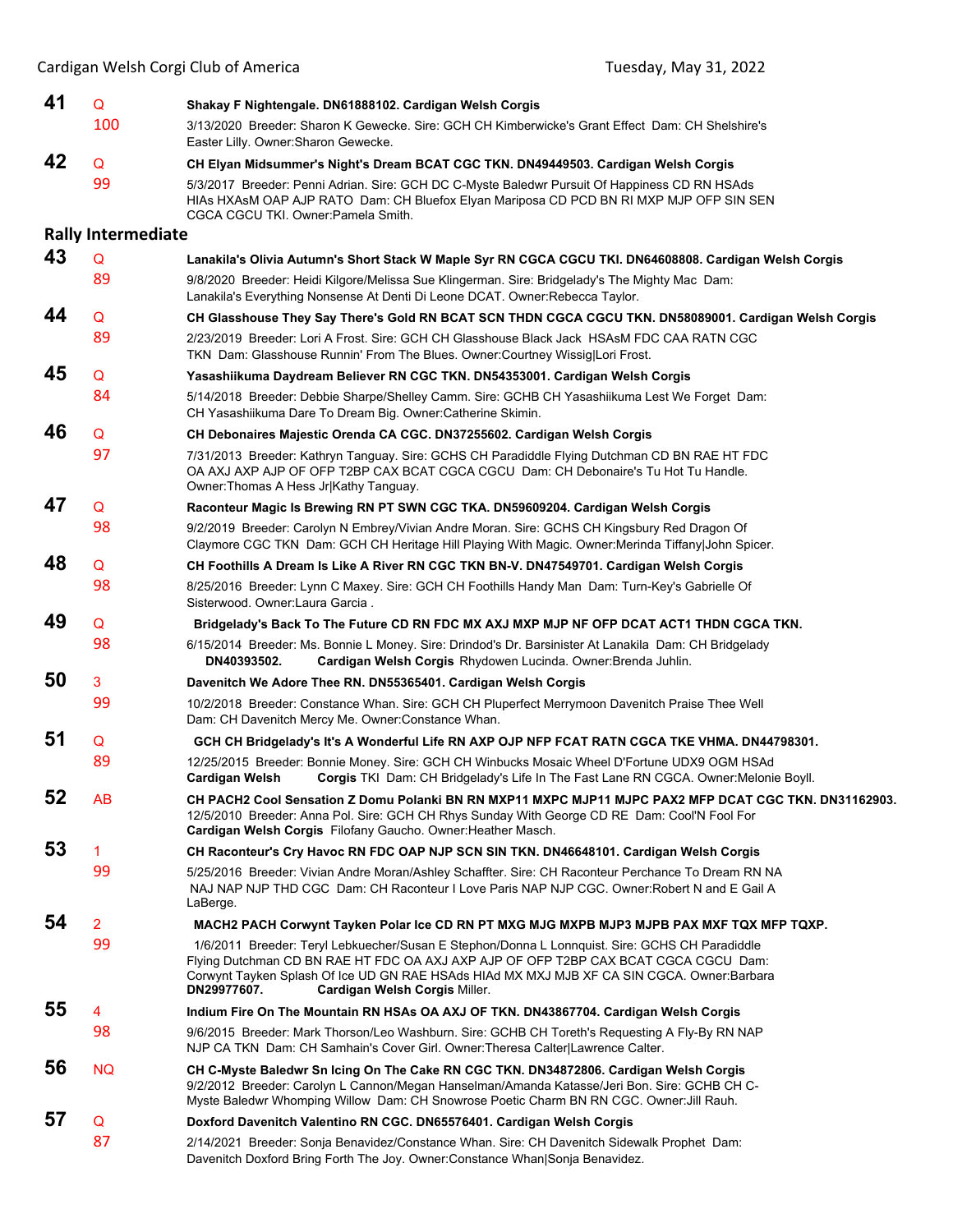| 41 | Q                         | Shakay F Nightengale. DN61888102. Cardigan Welsh Corgis                                                                                                                                                                                                                                                                             |
|----|---------------------------|-------------------------------------------------------------------------------------------------------------------------------------------------------------------------------------------------------------------------------------------------------------------------------------------------------------------------------------|
|    | 100                       | 3/13/2020 Breeder: Sharon K Gewecke. Sire: GCH CH Kimberwicke's Grant Effect Dam: CH Shelshire's<br>Easter Lilly. Owner: Sharon Gewecke.                                                                                                                                                                                            |
| 42 | Q                         | CH Elyan Midsummer's Night's Dream BCAT CGC TKN. DN49449503. Cardigan Welsh Corgis                                                                                                                                                                                                                                                  |
|    | 99                        | 5/3/2017 Breeder: Penni Adrian. Sire: GCH DC C-Myste Baledwr Pursuit Of Happiness CD RN HSAds<br>HIAS HXASM OAP AJP RATO Dam: CH Bluefox Elyan Mariposa CD PCD BN RI MXP MJP OFP SIN SEN<br>CGCA CGCU TKI. Owner:Pamela Smith.                                                                                                      |
|    | <b>Rally Intermediate</b> |                                                                                                                                                                                                                                                                                                                                     |
| 43 | $\mathsf Q$               | Lanakila's Olivia Autumn's Short Stack W Maple Syr RN CGCA CGCU TKI. DN64608808. Cardigan Welsh Corgis                                                                                                                                                                                                                              |
|    | 89                        | 9/8/2020 Breeder: Heidi Kilgore/Melissa Sue Klingerman. Sire: Bridgelady's The Mighty Mac Dam:<br>Lanakila's Everything Nonsense At Denti Di Leone DCAT. Owner:Rebecca Taylor.                                                                                                                                                      |
| 44 | Q                         | CH Glasshouse They Say There's Gold RN BCAT SCN THDN CGCA CGCU TKN. DN58089001. Cardigan Welsh Corgis                                                                                                                                                                                                                               |
|    | 89                        | 2/23/2019 Breeder: Lori A Frost. Sire: GCH CH Glasshouse Black Jack HSAsM FDC CAA RATN CGC<br>TKN Dam: Glasshouse Runnin' From The Blues. Owner: Courtney Wissig Lori Frost.                                                                                                                                                        |
| 45 | Q                         | Yasashiikuma Daydream Believer RN CGC TKN. DN54353001. Cardigan Welsh Corgis                                                                                                                                                                                                                                                        |
|    | 84                        | 5/14/2018 Breeder: Debbie Sharpe/Shelley Camm. Sire: GCHB CH Yasashiikuma Lest We Forget Dam:<br>CH Yasashiikuma Dare To Dream Big. Owner: Catherine Skimin.                                                                                                                                                                        |
| 46 | Q                         | CH Debonaires Majestic Orenda CA CGC. DN37255602. Cardigan Welsh Corgis                                                                                                                                                                                                                                                             |
|    | 97                        | 7/31/2013 Breeder: Kathryn Tanguay. Sire: GCHS CH Paradiddle Flying Dutchman CD BN RAE HT FDC<br>OA AXJ AXP AJP OF OFP T2BP CAX BCAT CGCA CGCU Dam: CH Debonaire's Tu Hot Tu Handle.<br>Owner: Thomas A Hess Jr Kathy Tanguay.                                                                                                      |
| 47 | Q                         | Raconteur Magic Is Brewing RN PT SWN CGC TKA. DN59609204. Cardigan Welsh Corgis                                                                                                                                                                                                                                                     |
|    | 98                        | 9/2/2019 Breeder: Carolyn N Embrey/Vivian Andre Moran. Sire: GCHS CH Kingsbury Red Dragon Of<br>Claymore CGC TKN Dam: GCH CH Heritage Hill Playing With Magic. Owner: Merinda Tiffany John Spicer.                                                                                                                                  |
| 48 | Q                         | CH Foothills A Dream Is Like A River RN CGC TKN BN-V. DN47549701. Cardigan Welsh Corgis                                                                                                                                                                                                                                             |
|    | 98                        | 8/25/2016 Breeder: Lynn C Maxey. Sire: GCH CH Foothills Handy Man Dam: Turn-Key's Gabrielle Of<br>Sisterwood. Owner:Laura Garcia                                                                                                                                                                                                    |
| 49 | Q                         | Bridgelady's Back To The Future CD RN FDC MX AXJ MXP MJP NF OFP DCAT ACT1 THDN CGCA TKN.                                                                                                                                                                                                                                            |
|    | 98                        | 6/15/2014 Breeder: Ms. Bonnie L Money. Sire: Drindod's Dr. Barsinister At Lanakila Dam: CH Bridgelady<br>Cardigan Welsh Corgis Rhydowen Lucinda. Owner: Brenda Juhlin.<br>DN40393502.                                                                                                                                               |
| 50 | 3                         | Davenitch We Adore Thee RN. DN55365401. Cardigan Welsh Corgis                                                                                                                                                                                                                                                                       |
|    | 99                        | 10/2/2018 Breeder: Constance Whan. Sire: GCH CH Pluperfect Merrymoon Davenitch Praise Thee Well<br>Dam: CH Davenitch Mercy Me. Owner: Constance Whan.                                                                                                                                                                               |
| 51 | Q                         | GCH CH Bridgelady's It's A Wonderful Life RN AXP OJP NFP FCAT RATN CGCA TKE VHMA. DN44798301.                                                                                                                                                                                                                                       |
|    | 89                        | 12/25/2015 Breeder: Bonnie Money. Sire: GCH CH Winbucks Mosaic Wheel D'Fortune UDX9 OGM HSAd<br><b>Cardigan Welsh</b><br>Corgis TKI Dam: CH Bridgelady's Life In The Fast Lane RN CGCA. Owner:Melonie Boyll.                                                                                                                        |
| 52 | <b>AB</b>                 | CH PACH2 Cool Sensation Z Domu Polanki BN RN MXP11 MXPC MJP11 MJPC PAX2 MFP DCAT CGC TKN. DN31162903.<br>12/5/2010 Breeder: Anna Pol. Sire: GCH CH Rhys Sunday With George CD RE Dam: Cool'N Fool For<br>Cardigan Welsh Corgis Filofany Gaucho. Owner: Heather Masch.                                                               |
| 53 | 1                         | CH Raconteur's Cry Havoc RN FDC OAP NJP SCN SIN TKN. DN46648101. Cardigan Welsh Corgis                                                                                                                                                                                                                                              |
|    | 99                        | 5/25/2016 Breeder: Vivian Andre Moran/Ashley Schaffter. Sire: CH Raconteur Perchance To Dream RN NA<br>NAJ NAP NJP THD CGC Dam: CH Raconteur I Love Paris NAP NJP CGC. Owner:Robert N and E Gail A<br>LaBerge.                                                                                                                      |
| 54 | $\overline{2}$            | MACH2 PACH Corwynt Tayken Polar Ice CD RN PT MXG MJG MXPB MJP3 MJPB PAX MXF TQX MFP TQXP.                                                                                                                                                                                                                                           |
|    | 99                        | 1/6/2011 Breeder: Teryl Lebkuecher/Susan E Stephon/Donna L Lonnquist. Sire: GCHS CH Paradiddle<br>Flying Dutchman CD BN RAE HT FDC OA AXJ AXP AJP OF OFP T2BP CAX BCAT CGCA CGCU Dam:<br>Corwynt Tayken Splash Of Ice UD GN RAE HSAds HIAd MX MXJ MJB XF CA SIN CGCA. Owner:Barbara<br>DN29977607.<br>Cardigan Welsh Corgis Miller. |
| 55 | 4                         | Indium Fire On The Mountain RN HSAs OA AXJ OF TKN. DN43867704. Cardigan Welsh Corgis                                                                                                                                                                                                                                                |
|    | 98                        | 9/6/2015 Breeder: Mark Thorson/Leo Washburn. Sire: GCHB CH Toreth's Requesting A Fly-By RN NAP<br>NJP CA TKN Dam: CH Samhain's Cover Girl. Owner: Theresa Calter Lawrence Calter.                                                                                                                                                   |
| 56 | <b>NQ</b>                 | CH C-Myste Baledwr Sn Icing On The Cake RN CGC TKN. DN34872806. Cardigan Welsh Corgis<br>9/2/2012 Breeder: Carolyn L Cannon/Megan Hanselman/Amanda Katasse/Jeri Bon. Sire: GCHB CH C-<br>Myste Baledwr Whomping Willow Dam: CH Snowrose Poetic Charm BN RN CGC. Owner: Jill Rauh.                                                   |
| 57 | Q                         | Doxford Davenitch Valentino RN CGC. DN65576401. Cardigan Welsh Corgis                                                                                                                                                                                                                                                               |
|    | 87                        | 2/14/2021 Breeder: Sonja Benavidez/Constance Whan. Sire: CH Davenitch Sidewalk Prophet Dam:<br>Davenitch Doxford Bring Forth The Joy. Owner: Constance Whan Sonja Benavidez.                                                                                                                                                        |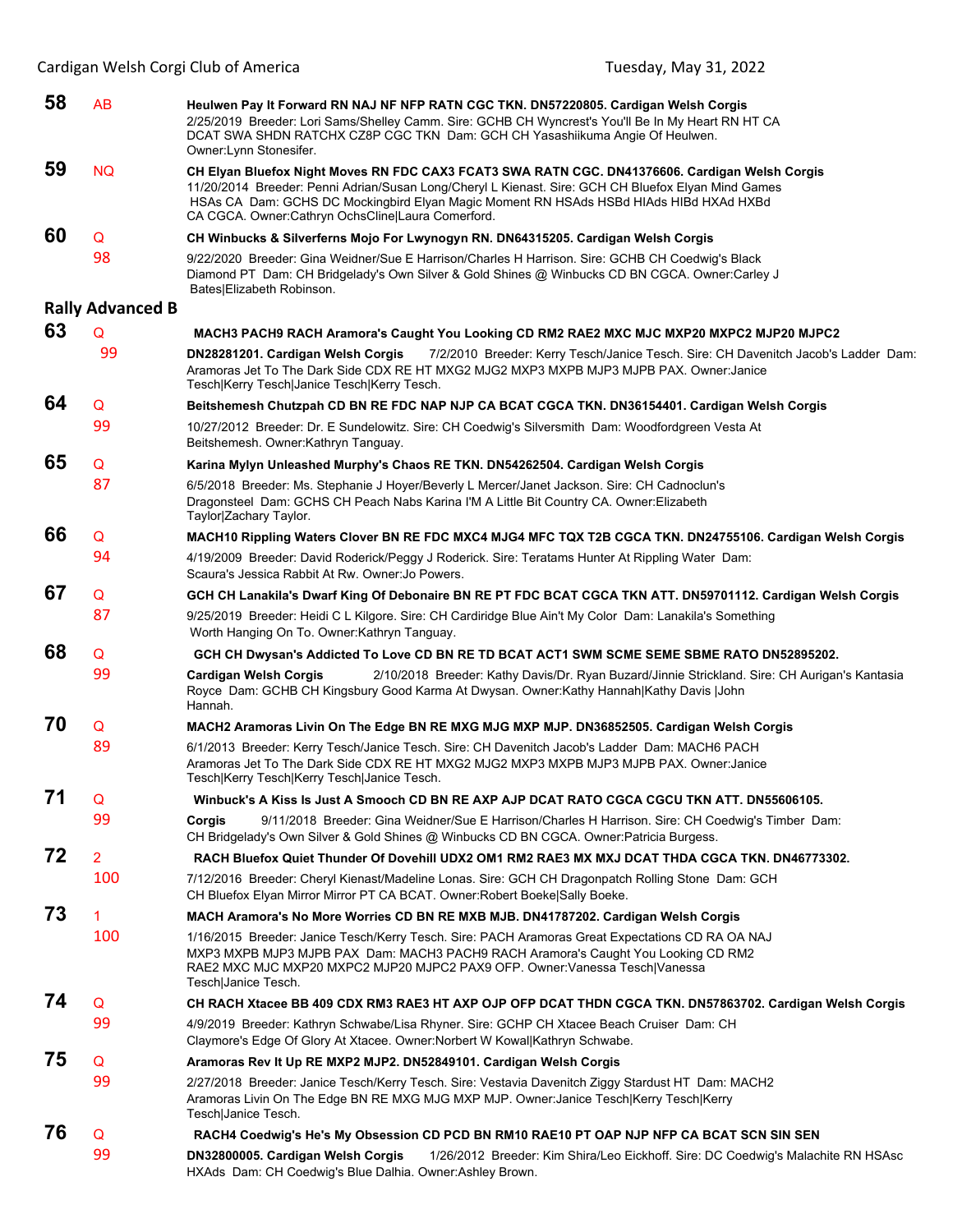| 58 | AB                      | Heulwen Pay It Forward RN NAJ NF NFP RATN CGC TKN. DN57220805. Cardigan Welsh Corgis<br>2/25/2019 Breeder: Lori Sams/Shelley Camm. Sire: GCHB CH Wyncrest's You'll Be In My Heart RN HT CA<br>DCAT SWA SHDN RATCHX CZ8P CGC TKN Dam: GCH CH Yasashiikuma Angie Of Heulwen.<br>Owner:Lynn Stonesifer.                                                 |
|----|-------------------------|------------------------------------------------------------------------------------------------------------------------------------------------------------------------------------------------------------------------------------------------------------------------------------------------------------------------------------------------------|
| 59 | <b>NQ</b>               | CH Elyan Bluefox Night Moves RN FDC CAX3 FCAT3 SWA RATN CGC. DN41376606. Cardigan Welsh Corgis<br>11/20/2014 Breeder: Penni Adrian/Susan Long/Cheryl L Kienast. Sire: GCH CH Bluefox Elyan Mind Games<br>HSAs CA Dam: GCHS DC Mockingbird Elyan Magic Moment RN HSAds HSBd HIAds HIBd HXAd HXBd<br>CA CGCA. Owner:Cathryn OchsCline Laura Comerford. |
| 60 | Q                       | CH Winbucks & Silverferns Mojo For Lwynogyn RN. DN64315205. Cardigan Welsh Corgis                                                                                                                                                                                                                                                                    |
|    | 98                      | 9/22/2020 Breeder: Gina Weidner/Sue E Harrison/Charles H Harrison. Sire: GCHB CH Coedwig's Black<br>Diamond PT Dam: CH Bridgelady's Own Silver & Gold Shines @ Winbucks CD BN CGCA. Owner:Carley J<br>Bates Elizabeth Robinson.                                                                                                                      |
|    | <b>Rally Advanced B</b> |                                                                                                                                                                                                                                                                                                                                                      |
| 63 | Q                       | MACH3 PACH9 RACH Aramora's Caught You Looking CD RM2 RAE2 MXC MJC MXP20 MXPC2 MJP20 MJPC2                                                                                                                                                                                                                                                            |
|    | 99                      | DN28281201. Cardigan Welsh Corgis<br>7/2/2010 Breeder: Kerry Tesch/Janice Tesch. Sire: CH Davenitch Jacob's Ladder Dam:<br>Aramoras Jet To The Dark Side CDX RE HT MXG2 MJG2 MXP3 MXPB MJP3 MJPB PAX. Owner:Janice<br>Tesch Kerry Tesch Janice Tesch Kerry Tesch.                                                                                    |
| 64 | Q                       | Beitshemesh Chutzpah CD BN RE FDC NAP NJP CA BCAT CGCA TKN. DN36154401. Cardigan Welsh Corgis                                                                                                                                                                                                                                                        |
|    | 99                      | 10/27/2012 Breeder: Dr. E Sundelowitz. Sire: CH Coedwig's Silversmith Dam: Woodfordgreen Vesta At<br>Beitshemesh. Owner:Kathryn Tanguay.                                                                                                                                                                                                             |
| 65 | Q                       | Karina Mylyn Unleashed Murphy's Chaos RE TKN. DN54262504. Cardigan Welsh Corgis                                                                                                                                                                                                                                                                      |
|    | 87                      | 6/5/2018 Breeder: Ms. Stephanie J Hoyer/Beverly L Mercer/Janet Jackson. Sire: CH Cadnoclun's<br>Dragonsteel Dam: GCHS CH Peach Nabs Karina I'M A Little Bit Country CA. Owner: Elizabeth<br>Taylor Zachary Taylor.                                                                                                                                   |
| 66 | Q                       | MACH10 Rippling Waters Clover BN RE FDC MXC4 MJG4 MFC TQX T2B CGCA TKN. DN24755106. Cardigan Welsh Corgis                                                                                                                                                                                                                                            |
|    | 94                      | 4/19/2009 Breeder: David Roderick/Peggy J Roderick. Sire: Teratams Hunter At Rippling Water Dam:<br>Scaura's Jessica Rabbit At Rw. Owner: Jo Powers.                                                                                                                                                                                                 |
| 67 | Q                       | GCH CH Lanakila's Dwarf King Of Debonaire BN RE PT FDC BCAT CGCA TKN ATT. DN59701112. Cardigan Welsh Corgis                                                                                                                                                                                                                                          |
|    | 87                      | 9/25/2019 Breeder: Heidi C L Kilgore. Sire: CH Cardiridge Blue Ain't My Color Dam: Lanakila's Something<br>Worth Hanging On To. Owner: Kathryn Tanguay.                                                                                                                                                                                              |
| 68 | Q                       | GCH CH Dwysan's Addicted To Love CD BN RE TD BCAT ACT1 SWM SCME SEME SBME RATO DN52895202.                                                                                                                                                                                                                                                           |
|    | 99                      | Cardigan Welsh Corgis<br>2/10/2018 Breeder: Kathy Davis/Dr. Ryan Buzard/Jinnie Strickland. Sire: CH Aurigan's Kantasia<br>Royce Dam: GCHB CH Kingsbury Good Karma At Dwysan. Owner:Kathy Hannah Kathy Davis  John<br>Hannah.                                                                                                                         |
| 70 | Q                       | MACH2 Aramoras Livin On The Edge BN RE MXG MJG MXP MJP. DN36852505. Cardigan Welsh Corgis                                                                                                                                                                                                                                                            |
|    | 89                      | 6/1/2013 Breeder: Kerry Tesch/Janice Tesch. Sire: CH Davenitch Jacob's Ladder Dam: MACH6 PACH<br>Aramoras Jet To The Dark Side CDX RE HT MXG2 MJG2 MXP3 MXPB MJP3 MJPB PAX. Owner:Janice<br>Tesch Kerry Tesch Kerry Tesch Janice Tesch.                                                                                                              |
| 71 | Q                       | Winbuck's A Kiss Is Just A Smooch CD BN RE AXP AJP DCAT RATO CGCA CGCU TKN ATT. DN55606105.                                                                                                                                                                                                                                                          |
|    | 99                      | 9/11/2018 Breeder: Gina Weidner/Sue E Harrison/Charles H Harrison. Sire: CH Coedwig's Timber Dam:<br>Corgis<br>CH Bridgelady's Own Silver & Gold Shines @ Winbucks CD BN CGCA. Owner:Patricia Burgess.                                                                                                                                               |
| 72 | 2                       | RACH Bluefox Quiet Thunder Of Dovehill UDX2 OM1 RM2 RAE3 MX MXJ DCAT THDA CGCA TKN. DN46773302.                                                                                                                                                                                                                                                      |
|    | 100                     | 7/12/2016 Breeder: Cheryl Kienast/Madeline Lonas. Sire: GCH CH Dragonpatch Rolling Stone Dam: GCH<br>CH Bluefox Elyan Mirror Mirror PT CA BCAT. Owner: Robert Boeke Sally Boeke.                                                                                                                                                                     |
| 73 | 1                       | MACH Aramora's No More Worries CD BN RE MXB MJB. DN41787202. Cardigan Welsh Corgis                                                                                                                                                                                                                                                                   |
|    | 100                     | 1/16/2015 Breeder: Janice Tesch/Kerry Tesch. Sire: PACH Aramoras Great Expectations CD RA OA NAJ<br>MXP3 MXPB MJP3 MJPB PAX Dam: MACH3 PACH9 RACH Aramora's Caught You Looking CD RM2<br>RAE2 MXC MJC MXP20 MXPC2 MJP20 MJPC2 PAX9 OFP. Owner:Vanessa Tesch Vanessa<br>Tesch Janice Tesch.                                                           |
| 74 | Q                       | CH RACH Xtacee BB 409 CDX RM3 RAE3 HT AXP OJP OFP DCAT THDN CGCA TKN. DN57863702. Cardigan Welsh Corgis                                                                                                                                                                                                                                              |
|    | 99                      | 4/9/2019 Breeder: Kathryn Schwabe/Lisa Rhyner. Sire: GCHP CH Xtacee Beach Cruiser Dam: CH<br>Claymore's Edge Of Glory At Xtacee. Owner:Norbert W Kowal Kathryn Schwabe.                                                                                                                                                                              |
| 75 | Q                       | Aramoras Rev It Up RE MXP2 MJP2. DN52849101. Cardigan Welsh Corgis                                                                                                                                                                                                                                                                                   |
|    | 99                      | 2/27/2018 Breeder: Janice Tesch/Kerry Tesch. Sire: Vestavia Davenitch Ziggy Stardust HT Dam: MACH2<br>Aramoras Livin On The Edge BN RE MXG MJG MXP MJP. Owner: Janice Tesch Kerry Tesch Kerry<br>Tesch Janice Tesch.                                                                                                                                 |
| 76 | Q                       | RACH4 Coedwig's He's My Obsession CD PCD BN RM10 RAE10 PT OAP NJP NFP CA BCAT SCN SIN SEN                                                                                                                                                                                                                                                            |
|    | 99                      | DN32800005. Cardigan Welsh Corgis<br>1/26/2012 Breeder: Kim Shira/Leo Eickhoff. Sire: DC Coedwig's Malachite RN HSAsc<br>HXAds Dam: CH Coedwig's Blue Dalhia. Owner: Ashley Brown.                                                                                                                                                                   |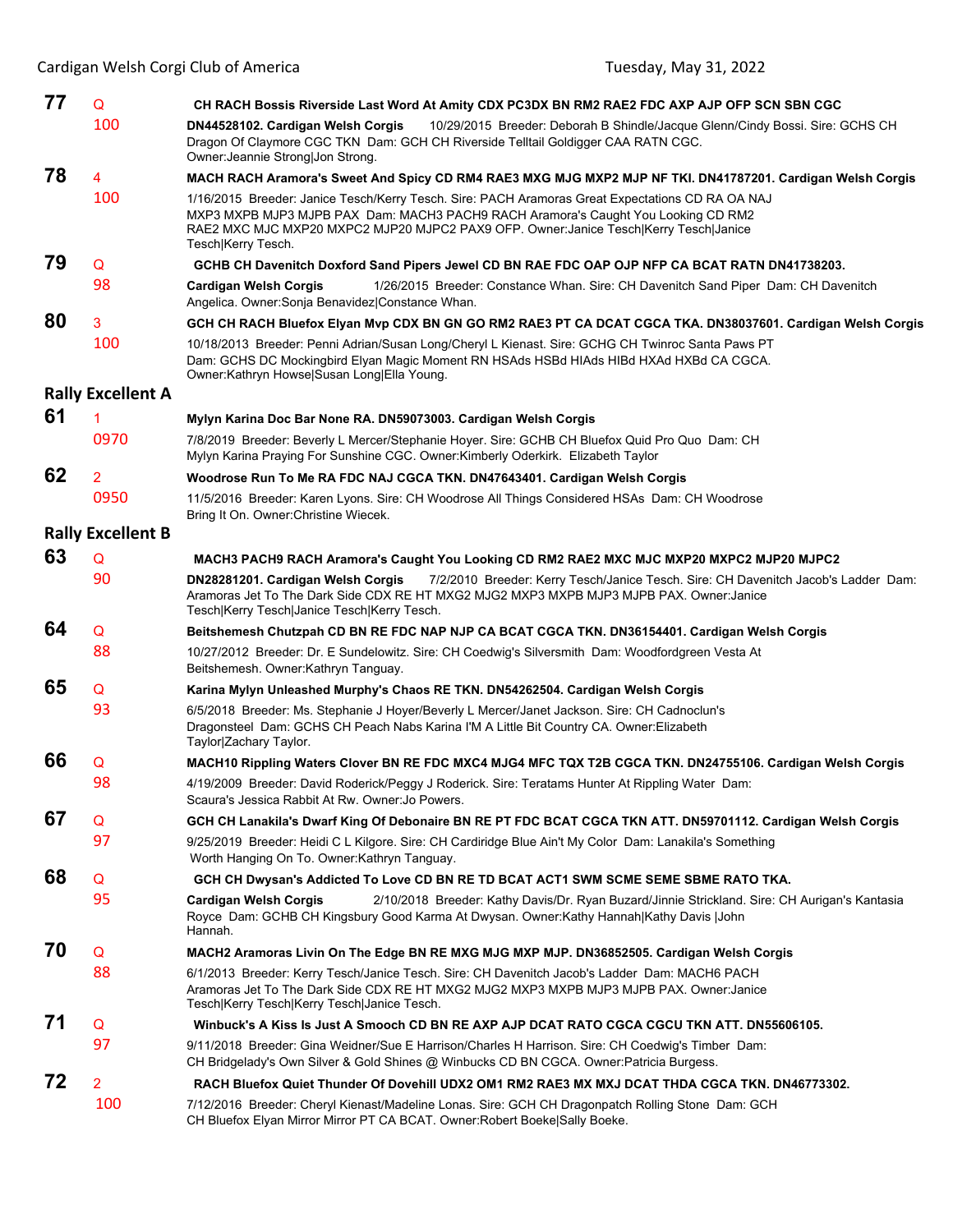| 77 | Q                        | CH RACH Bossis Riverside Last Word At Amity CDX PC3DX BN RM2 RAE2 FDC AXP AJP OFP SCN SBN CGC                                                                                                                                                                                                       |
|----|--------------------------|-----------------------------------------------------------------------------------------------------------------------------------------------------------------------------------------------------------------------------------------------------------------------------------------------------|
|    | 100                      | 10/29/2015 Breeder: Deborah B Shindle/Jacque Glenn/Cindy Bossi. Sire: GCHS CH<br>DN44528102. Cardigan Welsh Corgis<br>Dragon Of Claymore CGC TKN Dam: GCH CH Riverside Telltail Goldigger CAA RATN CGC.<br>Owner: Jeannie Strong Jon Strong.                                                        |
| 78 | 4                        | MACH RACH Aramora's Sweet And Spicy CD RM4 RAE3 MXG MJG MXP2 MJP NF TKI. DN41787201. Cardigan Welsh Corgis                                                                                                                                                                                          |
|    | 100                      | 1/16/2015 Breeder: Janice Tesch/Kerry Tesch. Sire: PACH Aramoras Great Expectations CD RA OA NAJ<br>MXP3 MXPB MJP3 MJPB PAX Dam: MACH3 PACH9 RACH Aramora's Caught You Looking CD RM2<br>RAE2 MXC MJC MXP20 MXPC2 MJP20 MJPC2 PAX9 OFP. Owner:Janice Tesch Kerry Tesch Janice<br>Tesch Kerry Tesch. |
| 79 | Q                        | GCHB CH Davenitch Doxford Sand Pipers Jewel CD BN RAE FDC OAP OJP NFP CA BCAT RATN DN41738203.                                                                                                                                                                                                      |
|    | 98                       | 1/26/2015 Breeder: Constance Whan. Sire: CH Davenitch Sand Piper Dam: CH Davenitch<br><b>Cardigan Welsh Corgis</b><br>Angelica. Owner: Sonja Benavidez  Constance Whan.                                                                                                                             |
| 80 | 3                        | GCH CH RACH Bluefox Elyan Mvp CDX BN GN GO RM2 RAE3 PT CA DCAT CGCA TKA. DN38037601. Cardigan Welsh Corgis                                                                                                                                                                                          |
|    | 100                      | 10/18/2013 Breeder: Penni Adrian/Susan Long/Cheryl L Kienast. Sire: GCHG CH Twinroc Santa Paws PT<br>Dam: GCHS DC Mockingbird Elyan Magic Moment RN HSAds HSBd HIAds HIBd HXAd HXBd CA CGCA.<br>Owner:Kathryn Howse Susan Long Ella Young.                                                          |
|    | <b>Rally Excellent A</b> |                                                                                                                                                                                                                                                                                                     |
| 61 |                          | Mylyn Karina Doc Bar None RA. DN59073003. Cardigan Welsh Corgis                                                                                                                                                                                                                                     |
|    | 0970                     | 7/8/2019 Breeder: Beverly L Mercer/Stephanie Hoyer. Sire: GCHB CH Bluefox Quid Pro Quo Dam: CH<br>Mylyn Karina Praying For Sunshine CGC. Owner: Kimberly Oderkirk. Elizabeth Taylor                                                                                                                 |
| 62 | 2                        | Woodrose Run To Me RA FDC NAJ CGCA TKN. DN47643401. Cardigan Welsh Corgis                                                                                                                                                                                                                           |
|    | 0950                     | 11/5/2016 Breeder: Karen Lyons. Sire: CH Woodrose All Things Considered HSAs Dam: CH Woodrose<br>Bring It On. Owner: Christine Wiecek.                                                                                                                                                              |
|    | <b>Rally Excellent B</b> |                                                                                                                                                                                                                                                                                                     |
| 63 | Q                        | MACH3 PACH9 RACH Aramora's Caught You Looking CD RM2 RAE2 MXC MJC MXP20 MXPC2 MJP20 MJPC2                                                                                                                                                                                                           |
|    | 90                       | DN28281201. Cardigan Welsh Corgis<br>7/2/2010 Breeder: Kerry Tesch/Janice Tesch. Sire: CH Davenitch Jacob's Ladder Dam:<br>Aramoras Jet To The Dark Side CDX RE HT MXG2 MJG2 MXP3 MXPB MJP3 MJPB PAX. Owner:Janice<br>Tesch Kerry Tesch Janice Tesch Kerry Tesch.                                   |
| 64 | Q                        | Beitshemesh Chutzpah CD BN RE FDC NAP NJP CA BCAT CGCA TKN. DN36154401. Cardigan Welsh Corgis                                                                                                                                                                                                       |
|    | 88                       | 10/27/2012 Breeder: Dr. E Sundelowitz. Sire: CH Coedwig's Silversmith Dam: Woodfordgreen Vesta At<br>Beitshemesh. Owner: Kathryn Tanguay.                                                                                                                                                           |
| 65 | Q                        | Karina Mylyn Unleashed Murphy's Chaos RE TKN. DN54262504. Cardigan Welsh Corgis                                                                                                                                                                                                                     |
|    | 93                       | 6/5/2018 Breeder: Ms. Stephanie J Hoyer/Beverly L Mercer/Janet Jackson. Sire: CH Cadnoclun's<br>Dragonsteel Dam: GCHS CH Peach Nabs Karina I'M A Little Bit Country CA. Owner: Elizabeth<br>Taylor Zachary Taylor.                                                                                  |
| 66 | Q                        | MACH10 Rippling Waters Clover BN RE FDC MXC4 MJG4 MFC TQX T2B CGCA TKN. DN24755106. Cardigan Welsh Corgis                                                                                                                                                                                           |
|    | 98                       | 4/19/2009 Breeder: David Roderick/Peggy J Roderick. Sire: Teratams Hunter At Rippling Water Dam:<br>Scaura's Jessica Rabbit At Rw. Owner: Jo Powers.                                                                                                                                                |
| 67 | Q                        | GCH CH Lanakila's Dwarf King Of Debonaire BN RE PT FDC BCAT CGCA TKN ATT. DN59701112. Cardigan Welsh Corgis                                                                                                                                                                                         |
|    | 97                       | 9/25/2019 Breeder: Heidi C L Kilgore. Sire: CH Cardiridge Blue Ain't My Color Dam: Lanakila's Something<br>Worth Hanging On To. Owner: Kathryn Tanguay.                                                                                                                                             |
| 68 | Q                        | GCH CH Dwysan's Addicted To Love CD BN RE TD BCAT ACT1 SWM SCME SEME SBME RATO TKA.                                                                                                                                                                                                                 |
|    | 95                       | 2/10/2018 Breeder: Kathy Davis/Dr. Ryan Buzard/Jinnie Strickland. Sire: CH Aurigan's Kantasia<br>Cardigan Welsh Corgis<br>Royce Dam: GCHB CH Kingsbury Good Karma At Dwysan. Owner: Kathy Hannah Kathy Davis  John<br>Hannah.                                                                       |
| 70 | Q                        | MACH2 Aramoras Livin On The Edge BN RE MXG MJG MXP MJP. DN36852505. Cardigan Welsh Corgis                                                                                                                                                                                                           |
|    | 88                       | 6/1/2013 Breeder: Kerry Tesch/Janice Tesch. Sire: CH Davenitch Jacob's Ladder Dam: MACH6 PACH<br>Aramoras Jet To The Dark Side CDX RE HT MXG2 MJG2 MXP3 MXPB MJP3 MJPB PAX. Owner: Janice<br>Tesch Kerry Tesch Kerry Tesch Janice Tesch.                                                            |
| 71 | Q                        | Winbuck's A Kiss Is Just A Smooch CD BN RE AXP AJP DCAT RATO CGCA CGCU TKN ATT. DN55606105.                                                                                                                                                                                                         |
|    | 97                       | 9/11/2018 Breeder: Gina Weidner/Sue E Harrison/Charles H Harrison. Sire: CH Coedwig's Timber Dam:<br>CH Bridgelady's Own Silver & Gold Shines @ Winbucks CD BN CGCA. Owner:Patricia Burgess.                                                                                                        |
| 72 | $\overline{2}$           | RACH Bluefox Quiet Thunder Of Dovehill UDX2 OM1 RM2 RAE3 MX MXJ DCAT THDA CGCA TKN. DN46773302.                                                                                                                                                                                                     |
|    | 100                      | 7/12/2016 Breeder: Cheryl Kienast/Madeline Lonas. Sire: GCH CH Dragonpatch Rolling Stone Dam: GCH<br>CH Bluefox Elyan Mirror Mirror PT CA BCAT. Owner: Robert Boeke Sally Boeke.                                                                                                                    |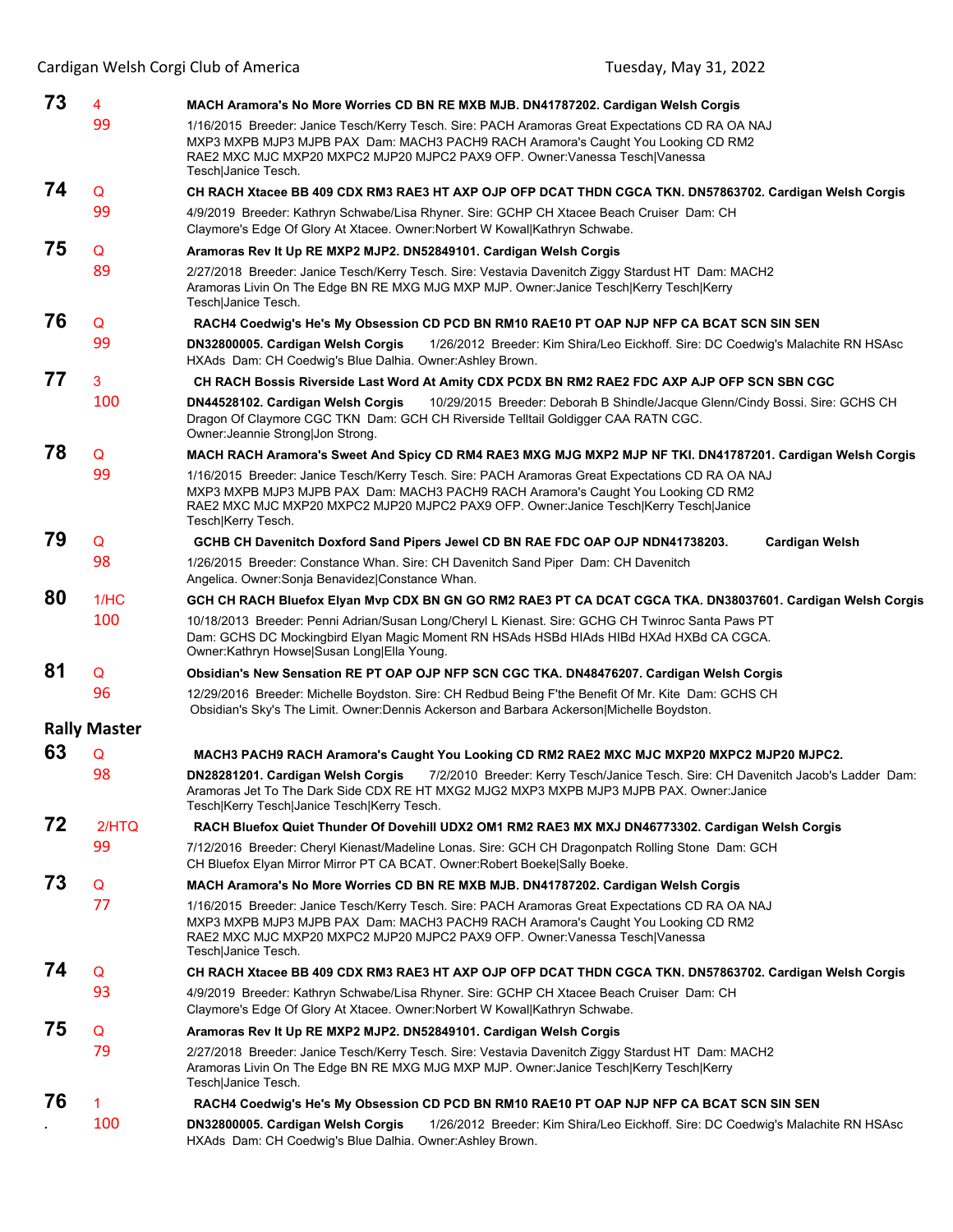| 73 | 4                   | MACH Aramora's No More Worries CD BN RE MXB MJB. DN41787202. Cardigan Welsh Corgis                                                                                                                                                                                                                  |
|----|---------------------|-----------------------------------------------------------------------------------------------------------------------------------------------------------------------------------------------------------------------------------------------------------------------------------------------------|
|    | 99                  | 1/16/2015 Breeder: Janice Tesch/Kerry Tesch. Sire: PACH Aramoras Great Expectations CD RA OA NAJ<br>MXP3 MXPB MJP3 MJPB PAX Dam: MACH3 PACH9 RACH Aramora's Caught You Looking CD RM2<br>RAE2 MXC MJC MXP20 MXPC2 MJP20 MJPC2 PAX9 OFP. Owner:Vanessa Tesch Vanessa<br>Tesch Janice Tesch.          |
| 74 | Q                   | CH RACH Xtacee BB 409 CDX RM3 RAE3 HT AXP OJP OFP DCAT THDN CGCA TKN. DN57863702. Cardigan Welsh Corgis                                                                                                                                                                                             |
|    | 99                  | 4/9/2019 Breeder: Kathryn Schwabe/Lisa Rhyner. Sire: GCHP CH Xtacee Beach Cruiser Dam: CH<br>Claymore's Edge Of Glory At Xtacee. Owner: Norbert W Kowal Kathryn Schwabe.                                                                                                                            |
| 75 | Q                   | Aramoras Rev It Up RE MXP2 MJP2. DN52849101. Cardigan Welsh Corgis                                                                                                                                                                                                                                  |
|    | 89                  | 2/27/2018 Breeder: Janice Tesch/Kerry Tesch. Sire: Vestavia Davenitch Ziggy Stardust HT Dam: MACH2<br>Aramoras Livin On The Edge BN RE MXG MJG MXP MJP. Owner: Janice Tesch Kerry Tesch Kerry<br>Tesch Janice Tesch.                                                                                |
| 76 | Q                   | RACH4 Coedwig's He's My Obsession CD PCD BN RM10 RAE10 PT OAP NJP NFP CA BCAT SCN SIN SEN                                                                                                                                                                                                           |
|    | 99                  | DN32800005. Cardigan Welsh Corgis<br>1/26/2012 Breeder: Kim Shira/Leo Eickhoff. Sire: DC Coedwig's Malachite RN HSAsc<br>HXAds Dam: CH Coedwig's Blue Dalhia. Owner: Ashley Brown.                                                                                                                  |
| 77 | 3                   | CH RACH Bossis Riverside Last Word At Amity CDX PCDX BN RM2 RAE2 FDC AXP AJP OFP SCN SBN CGC                                                                                                                                                                                                        |
|    | 100                 | 10/29/2015 Breeder: Deborah B Shindle/Jacque Glenn/Cindy Bossi. Sire: GCHS CH<br>DN44528102. Cardigan Welsh Corgis<br>Dragon Of Claymore CGC TKN Dam: GCH CH Riverside Telltail Goldigger CAA RATN CGC.<br>Owner: Jeannie Strong Jon Strong.                                                        |
| 78 | Q                   | MACH RACH Aramora's Sweet And Spicy CD RM4 RAE3 MXG MJG MXP2 MJP NF TKI. DN41787201. Cardigan Welsh Corgis                                                                                                                                                                                          |
|    | 99                  | 1/16/2015 Breeder: Janice Tesch/Kerry Tesch. Sire: PACH Aramoras Great Expectations CD RA OA NAJ<br>MXP3 MXPB MJP3 MJPB PAX Dam: MACH3 PACH9 RACH Aramora's Caught You Looking CD RM2<br>RAE2 MXC MJC MXP20 MXPC2 MJP20 MJPC2 PAX9 OFP. Owner:Janice Tesch Kerry Tesch Janice<br>Tesch Kerry Tesch. |
| 79 | Q                   | GCHB CH Davenitch Doxford Sand Pipers Jewel CD BN RAE FDC OAP OJP NDN41738203.<br><b>Cardigan Welsh</b>                                                                                                                                                                                             |
|    | 98                  | 1/26/2015 Breeder: Constance Whan. Sire: CH Davenitch Sand Piper Dam: CH Davenitch<br>Angelica. Owner: Sonja Benavidez  Constance Whan.                                                                                                                                                             |
| 80 | 1/HC                | GCH CH RACH Bluefox Elyan Mvp CDX BN GN GO RM2 RAE3 PT CA DCAT CGCA TKA. DN38037601. Cardigan Welsh Corgis                                                                                                                                                                                          |
|    | 100                 | 10/18/2013 Breeder: Penni Adrian/Susan Long/Cheryl L Kienast. Sire: GCHG CH Twinroc Santa Paws PT<br>Dam: GCHS DC Mockingbird Elyan Magic Moment RN HSAds HSBd HIAds HIBd HXAd HXBd CA CGCA.<br>Owner:Kathryn Howse Susan Long Ella Young.                                                          |
| 81 | Q                   | Obsidian's New Sensation RE PT OAP OJP NFP SCN CGC TKA. DN48476207. Cardigan Welsh Corgis                                                                                                                                                                                                           |
|    | 96                  | 12/29/2016 Breeder: Michelle Boydston. Sire: CH Redbud Being F'the Benefit Of Mr. Kite Dam: GCHS CH<br>Obsidian's Sky's The Limit. Owner:Dennis Ackerson and Barbara Ackerson Michelle Boydston.                                                                                                    |
|    | <b>Rally Master</b> |                                                                                                                                                                                                                                                                                                     |
| 63 | Q                   | MACH3 PACH9 RACH Aramora's Caught You Looking CD RM2 RAE2 MXC MJC MXP20 MXPC2 MJP20 MJPC2.                                                                                                                                                                                                          |
|    | 98                  | DN28281201. Cardigan Welsh Corgis<br>7/2/2010 Breeder: Kerry Tesch/Janice Tesch. Sire: CH Davenitch Jacob's Ladder Dam:<br>Aramoras Jet To The Dark Side CDX RE HT MXG2 MJG2 MXP3 MXPB MJP3 MJPB PAX. Owner:Janice<br>Tesch Kerry Tesch Janice Tesch Kerry Tesch.                                   |
| 72 | 2/HTO               | RACH Bluefox Quiet Thunder Of Dovehill UDX2 OM1 RM2 RAE3 MX MXJ DN46773302. Cardigan Welsh Corgis                                                                                                                                                                                                   |
|    | 99                  | 7/12/2016 Breeder: Cheryl Kienast/Madeline Lonas. Sire: GCH CH Dragonpatch Rolling Stone Dam: GCH<br>CH Bluefox Elyan Mirror Mirror PT CA BCAT. Owner: Robert Boeke Sally Boeke.                                                                                                                    |
| 73 | Q                   | MACH Aramora's No More Worries CD BN RE MXB MJB. DN41787202. Cardigan Welsh Corgis                                                                                                                                                                                                                  |
|    | 77                  | 1/16/2015 Breeder: Janice Tesch/Kerry Tesch. Sire: PACH Aramoras Great Expectations CD RA OA NAJ<br>MXP3 MXPB MJP3 MJPB PAX Dam: MACH3 PACH9 RACH Aramora's Caught You Looking CD RM2<br>RAE2 MXC MJC MXP20 MXPC2 MJP20 MJPC2 PAX9 OFP. Owner:Vanessa Tesch Vanessa<br>Tesch Janice Tesch.          |
| 74 | Q                   | CH RACH Xtacee BB 409 CDX RM3 RAE3 HT AXP OJP OFP DCAT THDN CGCA TKN. DN57863702. Cardigan Welsh Corgis                                                                                                                                                                                             |
|    | 93                  | 4/9/2019 Breeder: Kathryn Schwabe/Lisa Rhyner. Sire: GCHP CH Xtacee Beach Cruiser Dam: CH<br>Claymore's Edge Of Glory At Xtacee. Owner: Norbert W Kowal Kathryn Schwabe.                                                                                                                            |
| 75 | Q                   | Aramoras Rev It Up RE MXP2 MJP2. DN52849101. Cardigan Welsh Corgis                                                                                                                                                                                                                                  |
|    | 79                  | 2/27/2018 Breeder: Janice Tesch/Kerry Tesch. Sire: Vestavia Davenitch Ziggy Stardust HT Dam: MACH2<br>Aramoras Livin On The Edge BN RE MXG MJG MXP MJP. Owner: Janice Tesch Kerry Tesch Kerry<br>Tesch Janice Tesch.                                                                                |
| 76 | 1                   | RACH4 Coedwig's He's My Obsession CD PCD BN RM10 RAE10 PT OAP NJP NFP CA BCAT SCN SIN SEN                                                                                                                                                                                                           |
|    | 100                 | DN32800005. Cardigan Welsh Corgis<br>1/26/2012 Breeder: Kim Shira/Leo Eickhoff. Sire: DC Coedwig's Malachite RN HSAsc<br>HXAds Dam: CH Coedwig's Blue Dalhia. Owner: Ashley Brown.                                                                                                                  |